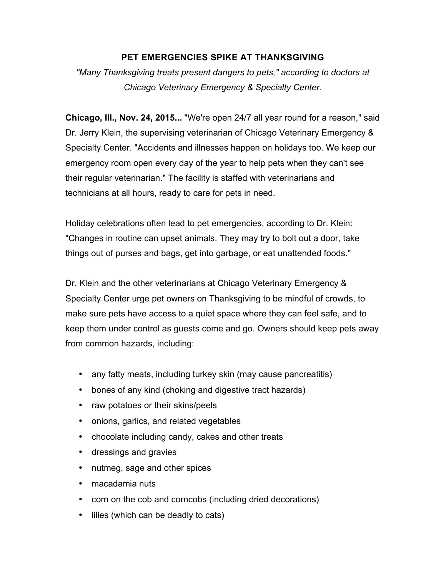## **PET EMERGENCIES SPIKE AT THANKSGIVING**

*"Many Thanksgiving treats present dangers to pets," according to doctors at Chicago Veterinary Emergency & Specialty Center.*

**Chicago, Ill., Nov. 24, 2015...** "We're open 24/7 all year round for a reason," said Dr. Jerry Klein, the supervising veterinarian of Chicago Veterinary Emergency & Specialty Center. "Accidents and illnesses happen on holidays too. We keep our emergency room open every day of the year to help pets when they can't see their regular veterinarian." The facility is staffed with veterinarians and technicians at all hours, ready to care for pets in need.

Holiday celebrations often lead to pet emergencies, according to Dr. Klein: "Changes in routine can upset animals. They may try to bolt out a door, take things out of purses and bags, get into garbage, or eat unattended foods."

Dr. Klein and the other veterinarians at Chicago Veterinary Emergency & Specialty Center urge pet owners on Thanksgiving to be mindful of crowds, to make sure pets have access to a quiet space where they can feel safe, and to keep them under control as guests come and go. Owners should keep pets away from common hazards, including:

- any fatty meats, including turkey skin (may cause pancreatitis)
- bones of any kind (choking and digestive tract hazards)
- raw potatoes or their skins/peels
- onions, garlics, and related vegetables
- chocolate including candy, cakes and other treats
- dressings and gravies
- nutmeg, sage and other spices
- macadamia nuts
- corn on the cob and corncobs (including dried decorations)
- lilies (which can be deadly to cats)